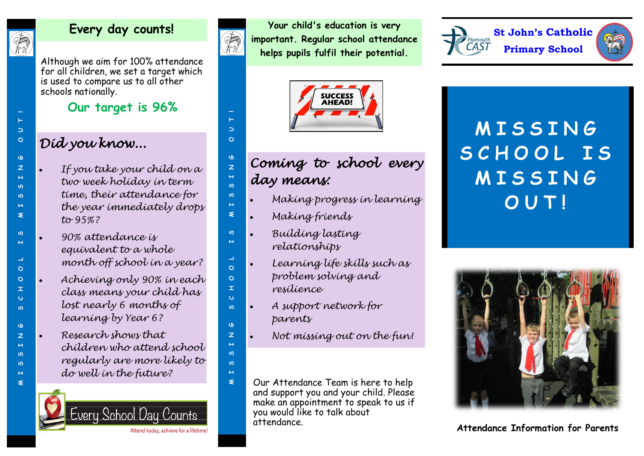

 $\Rightarrow$  $\circ$ 

 $\sigma$ 

 $\overline{z}$  $\mathbf{H}$ 

 $\Omega$ 

 $\omega$  $\mathbf{H}$  $\leq$ 

 $\mathbf{v}$  $\overline{\mathbf{H}}$ 

 $\blacktriangle$ 

 $\circ$ 

 $\circ$ 

 $\mathbf{r}$  $\ddot{\mathbf{c}}$ 

 $\omega$ 

 $\sigma$ 

 $\overline{z}$ 

 $\mathbf{H}$ 

 $\omega$ 

ഗ

 $H$ 

 $\leq$ 

### **Every day counts!**

Although we aim for 100% attendance for all children, we set a target which is used to compare us to all other schools nationally.

**Our target is 96%**

# *Did you know...*

- *If you take your child on a two week holiday in term time, their attendance for the year immediately drops to 95%?*
- *90% attendance is equivalent to a whole month off school in a year?*
- MISSING SCHOOHOOHOOHOOHOOHOODI *Achieving only 90% in each class means your child has lost nearly 6 months of learning by Year 6?*
	- *Research shows that children who attend school regularly are more likely to do well in the future?*





 $\overline{\phantom{0}}$ 

 $\circ$ 

 $\sigma$  $\overline{z}$ 

 $\mathbf{u}$ 

ഗ

 $\leq$ 

 $\rightarrow$  $\Omega$ 

 $\circ$ 

 $\pm$ 

 $\ddot{\mathbf{v}}$ 

 $\sigma$ 

 $\overline{z}$  $\mathbf{H}$ 

ഗ

 $\mathbf{u}$ 

 $H$ 

 $\leq$ 

**Your child's education is very important. Regular school attendance helps pupils fulfil their potential.**



# MISSING SCHOOHOOHOOHOOHOOHOODI *Coming to school every day means:*

- *Making progress in learning*
- *Making friends*
- *Building lasting relationships*
- *Learning life skills such as problem solving and* 
	- *resilience*
- *A support network for parents*
- *Not missing out on the fun!*
- Our Attendance Team is here to help and support you and your child. Please make an appointment to speak to us if you would like to talk about attendance.





# **M I S S I N G S C H O O L I S M I S S I N G O U T !**



**Attendance Information for Parents**